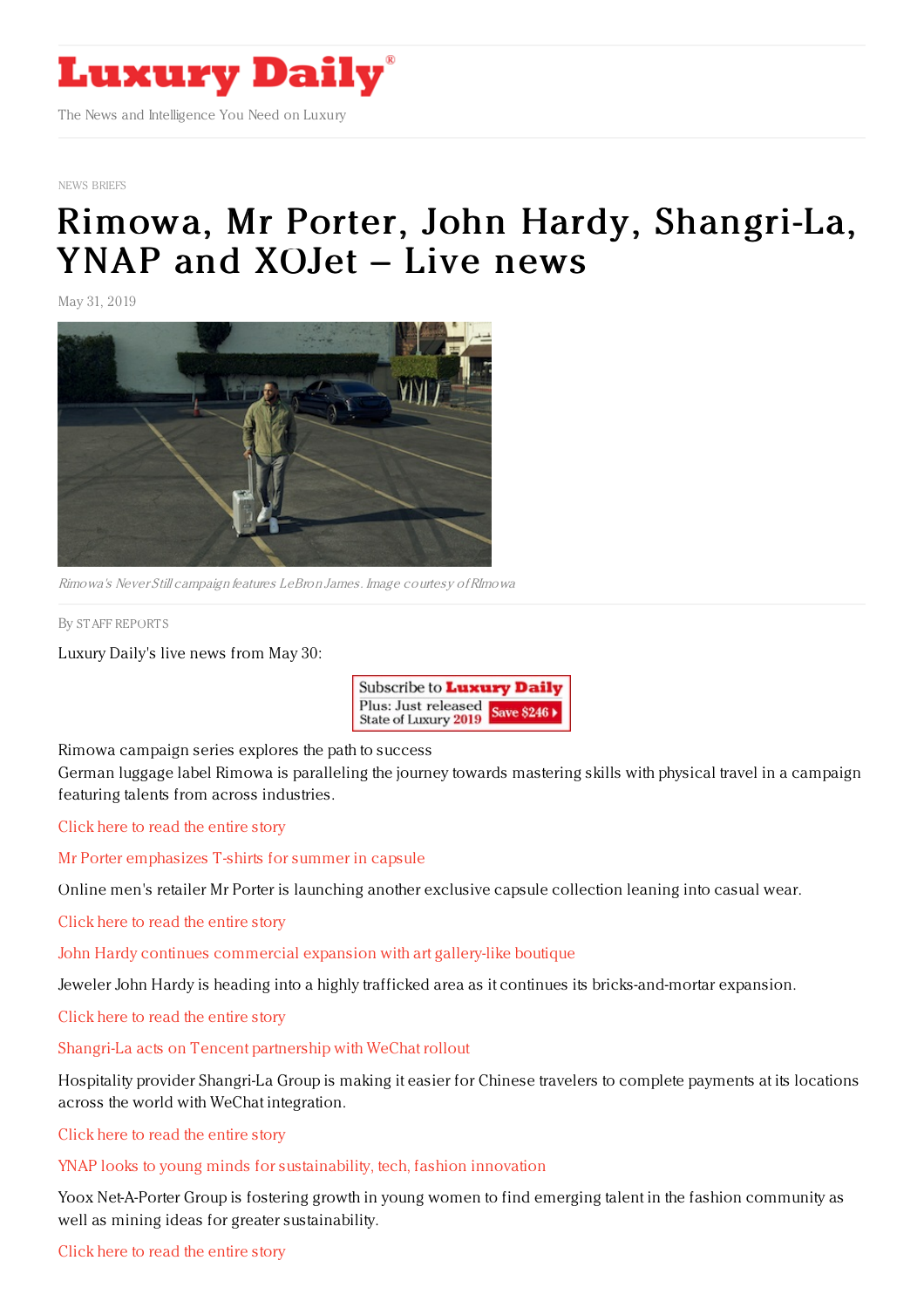

NEWS [BRIEFS](https://www.luxurydaily.com/category/resources/news-briefs)

# Rimowa, Mr Porter, John Hardy, [Shangri-La,](https://www.luxurydaily.com/rimowa-mr-porter-john-hardy-shangri-la-ynap-and-xojet-live-news/) YNAP and XOJet – Live news

May 31, 2019



Rimowa's Never Still campaign features LeBron James. Image courtesy ofRImowa

By STAFF [REPORT](file:///author/staff-reports) S

Luxury Daily's live news from May 30:



Rimowa campaign series explores the path to success German luggage label Rimowa is paralleling the journey towards mastering skills with physical travel in a campaign featuring talents from across industries.

Click here to read the [entire](https://www.luxurydaily.com/rimowa-campaign-series-explores-the-path-to-success/) story

Mr Porter [emphasizes](https://www.luxurydaily.com/mr-porter-emphasizes-t-shirts-for-summer-in-capsule/) T-shirts for summer in capsule

Online men's retailer Mr Porter is launching another exclusive capsule collection leaning into casual wear.

Click here to read the [entire](https://www.luxurydaily.com/mr-porter-emphasizes-t-shirts-for-summer-in-capsule/) story

John Hardy continues [commercial](https://www.luxurydaily.com/john-hardy-continues-commercial-expansion-with-art-gallery-like-boutique/) expansion with art gallery-like boutique

Jeweler John Hardy is heading into a highly trafficked area as it continues its bricks-and-mortar expansion.

Click here to read the [entire](https://www.luxurydaily.com/john-hardy-continues-commercial-expansion-with-art-gallery-like-boutique/) story

#### Shangri-La acts on Tencent [partnership](https://www.luxurydaily.com/shangri-la-acts-on-tencent-partnership-with-wechat-rollout/) with WeChat rollout

Hospitality provider Shangri-La Group is making it easier for Chinese travelers to complete payments at its locations across the world with WeChat integration.

Click here to read the [entire](https://www.luxurydaily.com/shangri-la-acts-on-tencent-partnership-with-wechat-rollout/) story

#### YNAP looks to young minds for [sustainability,](https://www.luxurydaily.com/ynap-looks-to-young-minds-for-sustainability-tech-fashion-innovation/) tech, fashion innovation

Yoox Net-A-Porter Group is fostering growth in young women to find emerging talent in the fashion community as well as mining ideas for greater sustainability.

Click here to read the [entire](https://www.luxurydaily.com/ynap-looks-to-young-minds-for-sustainability-tech-fashion-innovation/) story